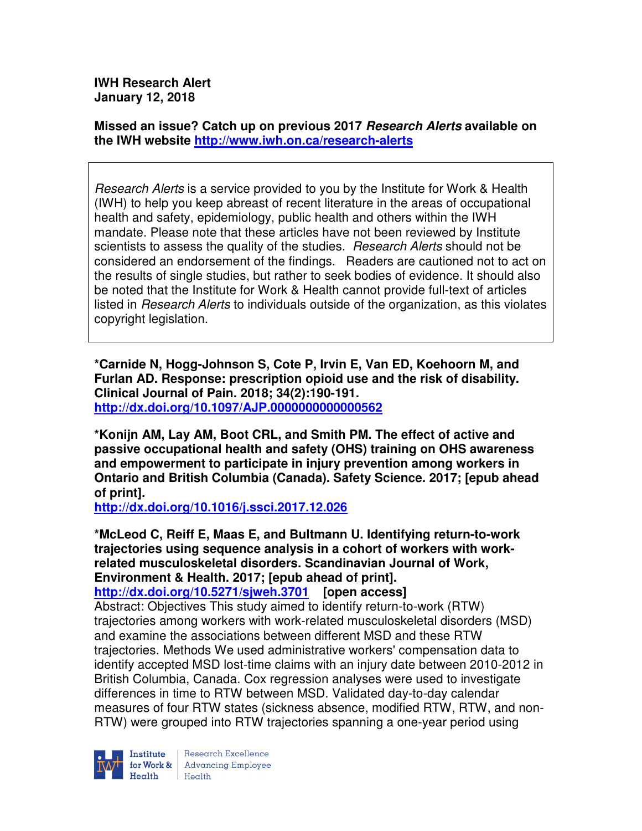**IWH Research Alert January 12, 2018** 

**Missed an issue? Catch up on previous 2017 Research Alerts available on the IWH website http://www.iwh.on.ca/research-alerts**

Research Alerts is a service provided to you by the Institute for Work & Health (IWH) to help you keep abreast of recent literature in the areas of occupational health and safety, epidemiology, public health and others within the IWH mandate. Please note that these articles have not been reviewed by Institute scientists to assess the quality of the studies. Research Alerts should not be considered an endorsement of the findings. Readers are cautioned not to act on the results of single studies, but rather to seek bodies of evidence. It should also be noted that the Institute for Work & Health cannot provide full-text of articles listed in *Research Alerts* to individuals outside of the organization, as this violates copyright legislation.

**\*Carnide N, Hogg-Johnson S, Cote P, Irvin E, Van ED, Koehoorn M, and Furlan AD. Response: prescription opioid use and the risk of disability. Clinical Journal of Pain. 2018; 34(2):190-191. http://dx.doi.org/10.1097/AJP.0000000000000562** 

**\*Konijn AM, Lay AM, Boot CRL, and Smith PM. The effect of active and passive occupational health and safety (OHS) training on OHS awareness and empowerment to participate in injury prevention among workers in Ontario and British Columbia (Canada). Safety Science. 2017; [epub ahead of print].** 

**http://dx.doi.org/10.1016/j.ssci.2017.12.026** 

**\*McLeod C, Reiff E, Maas E, and Bultmann U. Identifying return-to-work trajectories using sequence analysis in a cohort of workers with workrelated musculoskeletal disorders. Scandinavian Journal of Work, Environment & Health. 2017; [epub ahead of print]. http://dx.doi.org/10.5271/sjweh.3701 [open access]**

Abstract: Objectives This study aimed to identify return-to-work (RTW) trajectories among workers with work-related musculoskeletal disorders (MSD) and examine the associations between different MSD and these RTW trajectories. Methods We used administrative workers' compensation data to identify accepted MSD lost-time claims with an injury date between 2010-2012 in British Columbia, Canada. Cox regression analyses were used to investigate differences in time to RTW between MSD. Validated day-to-day calendar measures of four RTW states (sickness absence, modified RTW, RTW, and non-RTW) were grouped into RTW trajectories spanning a one-year period using



Research Excellence **Institute** Research Excellence<br> **For Work &**<br>
Morth Harlth Harlth Health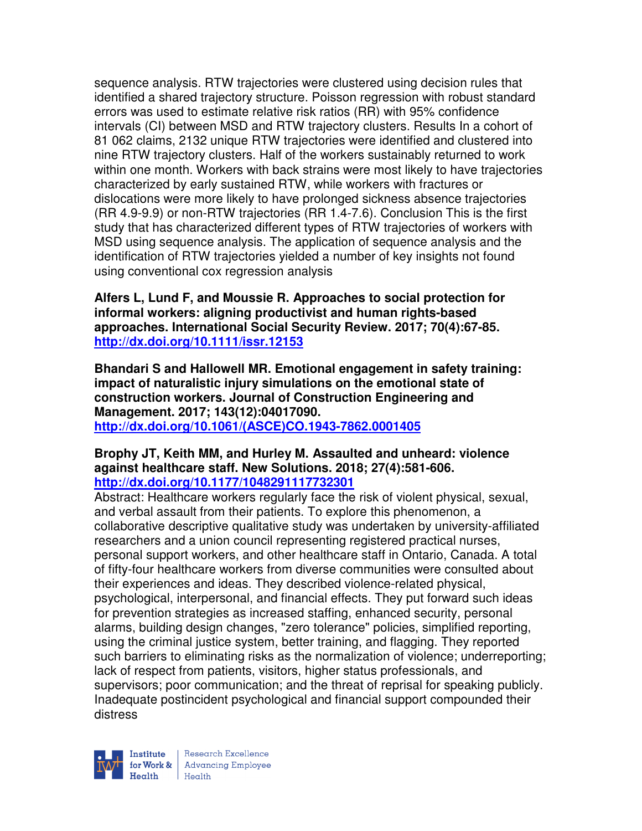sequence analysis. RTW trajectories were clustered using decision rules that identified a shared trajectory structure. Poisson regression with robust standard errors was used to estimate relative risk ratios (RR) with 95% confidence intervals (CI) between MSD and RTW trajectory clusters. Results In a cohort of 81 062 claims, 2132 unique RTW trajectories were identified and clustered into nine RTW trajectory clusters. Half of the workers sustainably returned to work within one month. Workers with back strains were most likely to have trajectories characterized by early sustained RTW, while workers with fractures or dislocations were more likely to have prolonged sickness absence trajectories (RR 4.9-9.9) or non-RTW trajectories (RR 1.4-7.6). Conclusion This is the first study that has characterized different types of RTW trajectories of workers with MSD using sequence analysis. The application of sequence analysis and the identification of RTW trajectories yielded a number of key insights not found using conventional cox regression analysis

**Alfers L, Lund F, and Moussie R. Approaches to social protection for informal workers: aligning productivist and human rights-based approaches. International Social Security Review. 2017; 70(4):67-85. http://dx.doi.org/10.1111/issr.12153** 

**Bhandari S and Hallowell MR. Emotional engagement in safety training: impact of naturalistic injury simulations on the emotional state of construction workers. Journal of Construction Engineering and Management. 2017; 143(12):04017090. http://dx.doi.org/10.1061/(ASCE)CO.1943-7862.0001405** 

### **Brophy JT, Keith MM, and Hurley M. Assaulted and unheard: violence against healthcare staff. New Solutions. 2018; 27(4):581-606. http://dx.doi.org/10.1177/1048291117732301**

Abstract: Healthcare workers regularly face the risk of violent physical, sexual, and verbal assault from their patients. To explore this phenomenon, a collaborative descriptive qualitative study was undertaken by university-affiliated researchers and a union council representing registered practical nurses, personal support workers, and other healthcare staff in Ontario, Canada. A total of fifty-four healthcare workers from diverse communities were consulted about their experiences and ideas. They described violence-related physical, psychological, interpersonal, and financial effects. They put forward such ideas for prevention strategies as increased staffing, enhanced security, personal alarms, building design changes, "zero tolerance" policies, simplified reporting, using the criminal justice system, better training, and flagging. They reported such barriers to eliminating risks as the normalization of violence; underreporting; lack of respect from patients, visitors, higher status professionals, and supervisors; poor communication; and the threat of reprisal for speaking publicly. Inadequate postincident psychological and financial support compounded their distress

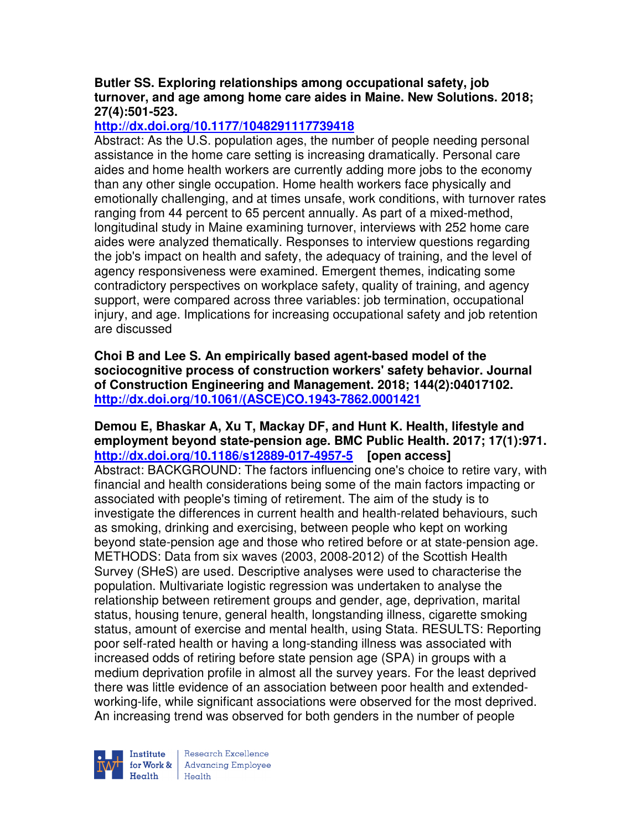## **Butler SS. Exploring relationships among occupational safety, job turnover, and age among home care aides in Maine. New Solutions. 2018; 27(4):501-523.**

# **http://dx.doi.org/10.1177/1048291117739418**

Abstract: As the U.S. population ages, the number of people needing personal assistance in the home care setting is increasing dramatically. Personal care aides and home health workers are currently adding more jobs to the economy than any other single occupation. Home health workers face physically and emotionally challenging, and at times unsafe, work conditions, with turnover rates ranging from 44 percent to 65 percent annually. As part of a mixed-method, longitudinal study in Maine examining turnover, interviews with 252 home care aides were analyzed thematically. Responses to interview questions regarding the job's impact on health and safety, the adequacy of training, and the level of agency responsiveness were examined. Emergent themes, indicating some contradictory perspectives on workplace safety, quality of training, and agency support, were compared across three variables: job termination, occupational injury, and age. Implications for increasing occupational safety and job retention are discussed

**Choi B and Lee S. An empirically based agent-based model of the sociocognitive process of construction workers' safety behavior. Journal of Construction Engineering and Management. 2018; 144(2):04017102. http://dx.doi.org/10.1061/(ASCE)CO.1943-7862.0001421** 

# **Demou E, Bhaskar A, Xu T, Mackay DF, and Hunt K. Health, lifestyle and employment beyond state-pension age. BMC Public Health. 2017; 17(1):971. http://dx.doi.org/10.1186/s12889-017-4957-5 [open access]**

Abstract: BACKGROUND: The factors influencing one's choice to retire vary, with financial and health considerations being some of the main factors impacting or associated with people's timing of retirement. The aim of the study is to investigate the differences in current health and health-related behaviours, such as smoking, drinking and exercising, between people who kept on working beyond state-pension age and those who retired before or at state-pension age. METHODS: Data from six waves (2003, 2008-2012) of the Scottish Health Survey (SHeS) are used. Descriptive analyses were used to characterise the population. Multivariate logistic regression was undertaken to analyse the relationship between retirement groups and gender, age, deprivation, marital status, housing tenure, general health, longstanding illness, cigarette smoking status, amount of exercise and mental health, using Stata. RESULTS: Reporting poor self-rated health or having a long-standing illness was associated with increased odds of retiring before state pension age (SPA) in groups with a medium deprivation profile in almost all the survey years. For the least deprived there was little evidence of an association between poor health and extendedworking-life, while significant associations were observed for the most deprived. An increasing trend was observed for both genders in the number of people

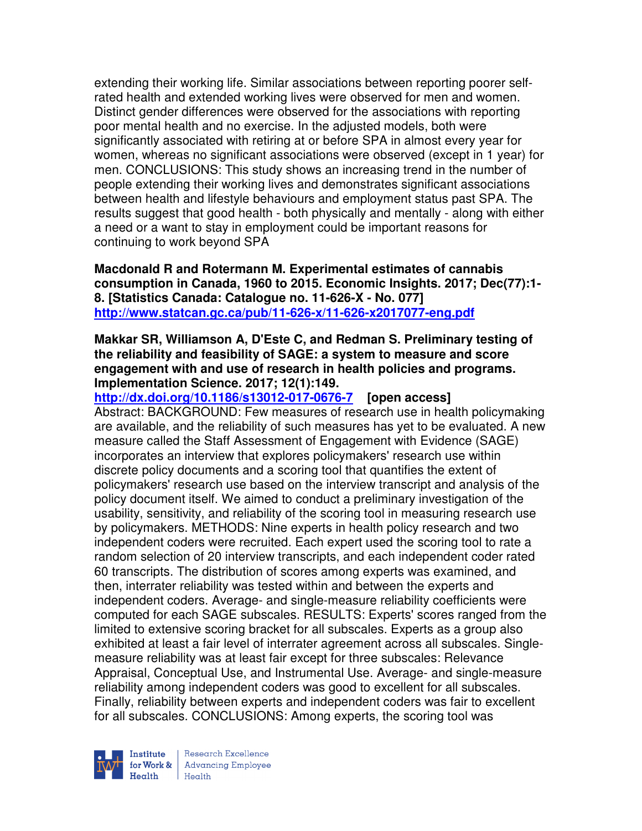extending their working life. Similar associations between reporting poorer selfrated health and extended working lives were observed for men and women. Distinct gender differences were observed for the associations with reporting poor mental health and no exercise. In the adjusted models, both were significantly associated with retiring at or before SPA in almost every year for women, whereas no significant associations were observed (except in 1 year) for men. CONCLUSIONS: This study shows an increasing trend in the number of people extending their working lives and demonstrates significant associations between health and lifestyle behaviours and employment status past SPA. The results suggest that good health - both physically and mentally - along with either a need or a want to stay in employment could be important reasons for continuing to work beyond SPA

**Macdonald R and Rotermann M. Experimental estimates of cannabis consumption in Canada, 1960 to 2015. Economic Insights. 2017; Dec(77):1- 8. [Statistics Canada: Catalogue no. 11-626-X - No. 077] http://www.statcan.gc.ca/pub/11-626-x/11-626-x2017077-eng.pdf**

## **Makkar SR, Williamson A, D'Este C, and Redman S. Preliminary testing of the reliability and feasibility of SAGE: a system to measure and score engagement with and use of research in health policies and programs. Implementation Science. 2017; 12(1):149.**

## **http://dx.doi.org/10.1186/s13012-017-0676-7 [open access]** Abstract: BACKGROUND: Few measures of research use in health policymaking are available, and the reliability of such measures has yet to be evaluated. A new measure called the Staff Assessment of Engagement with Evidence (SAGE) incorporates an interview that explores policymakers' research use within discrete policy documents and a scoring tool that quantifies the extent of policymakers' research use based on the interview transcript and analysis of the policy document itself. We aimed to conduct a preliminary investigation of the usability, sensitivity, and reliability of the scoring tool in measuring research use by policymakers. METHODS: Nine experts in health policy research and two independent coders were recruited. Each expert used the scoring tool to rate a random selection of 20 interview transcripts, and each independent coder rated 60 transcripts. The distribution of scores among experts was examined, and then, interrater reliability was tested within and between the experts and independent coders. Average- and single-measure reliability coefficients were computed for each SAGE subscales. RESULTS: Experts' scores ranged from the limited to extensive scoring bracket for all subscales. Experts as a group also exhibited at least a fair level of interrater agreement across all subscales. Singlemeasure reliability was at least fair except for three subscales: Relevance Appraisal, Conceptual Use, and Instrumental Use. Average- and single-measure reliability among independent coders was good to excellent for all subscales. Finally, reliability between experts and independent coders was fair to excellent for all subscales. CONCLUSIONS: Among experts, the scoring tool was

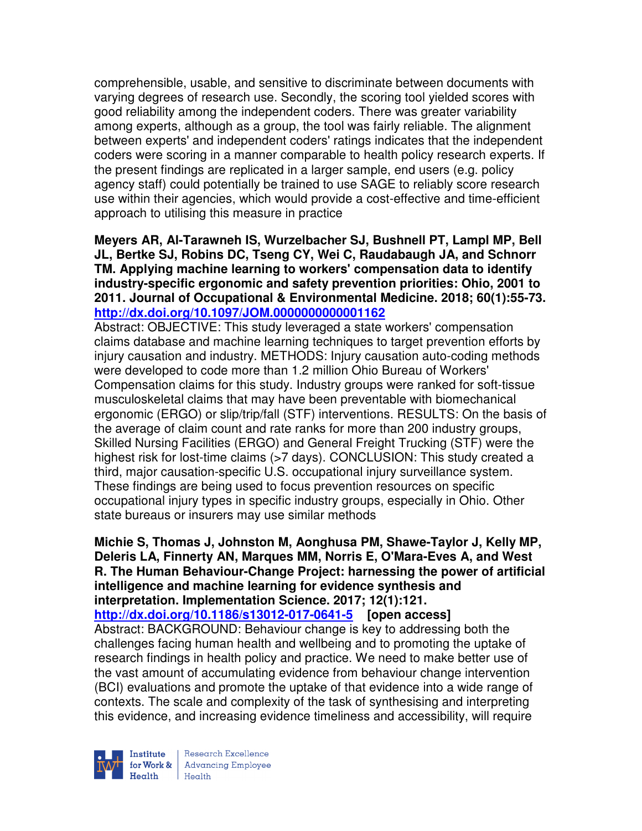comprehensible, usable, and sensitive to discriminate between documents with varying degrees of research use. Secondly, the scoring tool yielded scores with good reliability among the independent coders. There was greater variability among experts, although as a group, the tool was fairly reliable. The alignment between experts' and independent coders' ratings indicates that the independent coders were scoring in a manner comparable to health policy research experts. If the present findings are replicated in a larger sample, end users (e.g. policy agency staff) could potentially be trained to use SAGE to reliably score research use within their agencies, which would provide a cost-effective and time-efficient approach to utilising this measure in practice

**Meyers AR, Al-Tarawneh IS, Wurzelbacher SJ, Bushnell PT, Lampl MP, Bell JL, Bertke SJ, Robins DC, Tseng CY, Wei C, Raudabaugh JA, and Schnorr TM. Applying machine learning to workers' compensation data to identify industry-specific ergonomic and safety prevention priorities: Ohio, 2001 to 2011. Journal of Occupational & Environmental Medicine. 2018; 60(1):55-73. http://dx.doi.org/10.1097/JOM.0000000000001162** 

Abstract: OBJECTIVE: This study leveraged a state workers' compensation claims database and machine learning techniques to target prevention efforts by injury causation and industry. METHODS: Injury causation auto-coding methods were developed to code more than 1.2 million Ohio Bureau of Workers' Compensation claims for this study. Industry groups were ranked for soft-tissue musculoskeletal claims that may have been preventable with biomechanical ergonomic (ERGO) or slip/trip/fall (STF) interventions. RESULTS: On the basis of the average of claim count and rate ranks for more than 200 industry groups, Skilled Nursing Facilities (ERGO) and General Freight Trucking (STF) were the highest risk for lost-time claims (>7 days). CONCLUSION: This study created a third, major causation-specific U.S. occupational injury surveillance system. These findings are being used to focus prevention resources on specific occupational injury types in specific industry groups, especially in Ohio. Other state bureaus or insurers may use similar methods

**Michie S, Thomas J, Johnston M, Aonghusa PM, Shawe-Taylor J, Kelly MP, Deleris LA, Finnerty AN, Marques MM, Norris E, O'Mara-Eves A, and West R. The Human Behaviour-Change Project: harnessing the power of artificial intelligence and machine learning for evidence synthesis and interpretation. Implementation Science. 2017; 12(1):121.** 

**http://dx.doi.org/10.1186/s13012-017-0641-5 [open access]** Abstract: BACKGROUND: Behaviour change is key to addressing both the challenges facing human health and wellbeing and to promoting the uptake of research findings in health policy and practice. We need to make better use of the vast amount of accumulating evidence from behaviour change intervention (BCI) evaluations and promote the uptake of that evidence into a wide range of contexts. The scale and complexity of the task of synthesising and interpreting this evidence, and increasing evidence timeliness and accessibility, will require

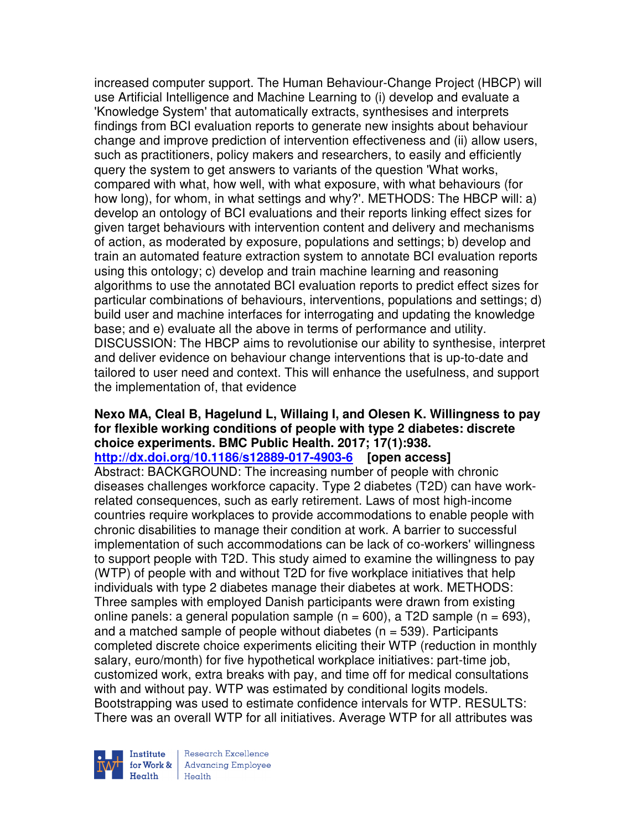increased computer support. The Human Behaviour-Change Project (HBCP) will use Artificial Intelligence and Machine Learning to (i) develop and evaluate a 'Knowledge System' that automatically extracts, synthesises and interprets findings from BCI evaluation reports to generate new insights about behaviour change and improve prediction of intervention effectiveness and (ii) allow users, such as practitioners, policy makers and researchers, to easily and efficiently query the system to get answers to variants of the question 'What works, compared with what, how well, with what exposure, with what behaviours (for how long), for whom, in what settings and why?'. METHODS: The HBCP will: a) develop an ontology of BCI evaluations and their reports linking effect sizes for given target behaviours with intervention content and delivery and mechanisms of action, as moderated by exposure, populations and settings; b) develop and train an automated feature extraction system to annotate BCI evaluation reports using this ontology; c) develop and train machine learning and reasoning algorithms to use the annotated BCI evaluation reports to predict effect sizes for particular combinations of behaviours, interventions, populations and settings; d) build user and machine interfaces for interrogating and updating the knowledge base; and e) evaluate all the above in terms of performance and utility. DISCUSSION: The HBCP aims to revolutionise our ability to synthesise, interpret and deliver evidence on behaviour change interventions that is up-to-date and tailored to user need and context. This will enhance the usefulness, and support the implementation of, that evidence

# **Nexo MA, Cleal B, Hagelund L, Willaing I, and Olesen K. Willingness to pay for flexible working conditions of people with type 2 diabetes: discrete choice experiments. BMC Public Health. 2017; 17(1):938.**

## **http://dx.doi.org/10.1186/s12889-017-4903-6 [open access]**

Abstract: BACKGROUND: The increasing number of people with chronic diseases challenges workforce capacity. Type 2 diabetes (T2D) can have workrelated consequences, such as early retirement. Laws of most high-income countries require workplaces to provide accommodations to enable people with chronic disabilities to manage their condition at work. A barrier to successful implementation of such accommodations can be lack of co-workers' willingness to support people with T2D. This study aimed to examine the willingness to pay (WTP) of people with and without T2D for five workplace initiatives that help individuals with type 2 diabetes manage their diabetes at work. METHODS: Three samples with employed Danish participants were drawn from existing online panels: a general population sample (n = 600), a T2D sample (n = 693), and a matched sample of people without diabetes ( $n = 539$ ). Participants completed discrete choice experiments eliciting their WTP (reduction in monthly salary, euro/month) for five hypothetical workplace initiatives: part-time job, customized work, extra breaks with pay, and time off for medical consultations with and without pay. WTP was estimated by conditional logits models. Bootstrapping was used to estimate confidence intervals for WTP. RESULTS: There was an overall WTP for all initiatives. Average WTP for all attributes was

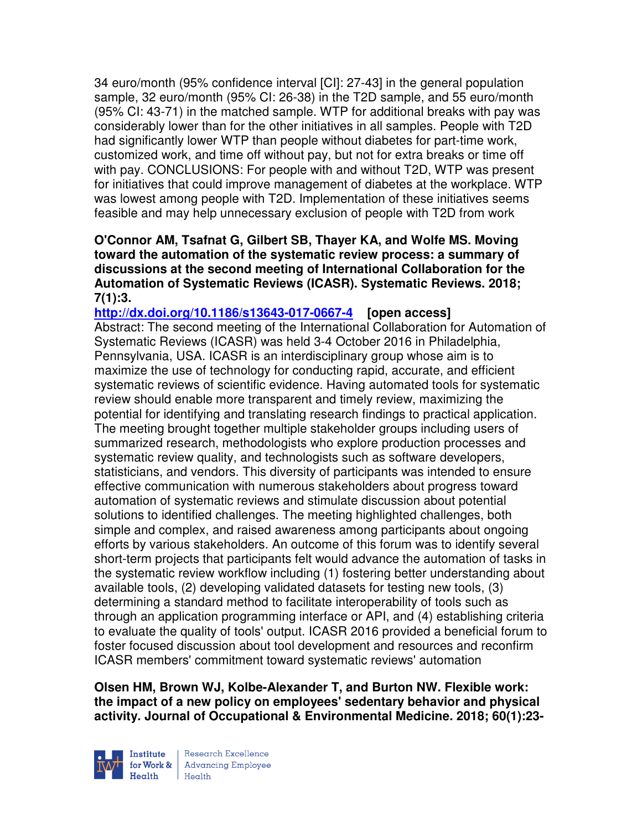34 euro/month (95% confidence interval [CI]: 27-43] in the general population sample, 32 euro/month (95% CI: 26-38) in the T2D sample, and 55 euro/month (95% CI: 43-71) in the matched sample. WTP for additional breaks with pay was considerably lower than for the other initiatives in all samples. People with T2D had significantly lower WTP than people without diabetes for part-time work, customized work, and time off without pay, but not for extra breaks or time off with pay. CONCLUSIONS: For people with and without T2D, WTP was present for initiatives that could improve management of diabetes at the workplace. WTP was lowest among people with T2D. Implementation of these initiatives seems feasible and may help unnecessary exclusion of people with T2D from work

# **O'Connor AM, Tsafnat G, Gilbert SB, Thayer KA, and Wolfe MS. Moving toward the automation of the systematic review process: a summary of discussions at the second meeting of International Collaboration for the Automation of Systematic Reviews (ICASR). Systematic Reviews. 2018; 7(1):3.**

**http://dx.doi.org/10.1186/s13643-017-0667-4 [open access]** Abstract: The second meeting of the International Collaboration for Automation of Systematic Reviews (ICASR) was held 3-4 October 2016 in Philadelphia, Pennsylvania, USA. ICASR is an interdisciplinary group whose aim is to maximize the use of technology for conducting rapid, accurate, and efficient systematic reviews of scientific evidence. Having automated tools for systematic review should enable more transparent and timely review, maximizing the potential for identifying and translating research findings to practical application. The meeting brought together multiple stakeholder groups including users of summarized research, methodologists who explore production processes and systematic review quality, and technologists such as software developers, statisticians, and vendors. This diversity of participants was intended to ensure effective communication with numerous stakeholders about progress toward automation of systematic reviews and stimulate discussion about potential solutions to identified challenges. The meeting highlighted challenges, both simple and complex, and raised awareness among participants about ongoing efforts by various stakeholders. An outcome of this forum was to identify several short-term projects that participants felt would advance the automation of tasks in the systematic review workflow including (1) fostering better understanding about available tools, (2) developing validated datasets for testing new tools, (3) determining a standard method to facilitate interoperability of tools such as through an application programming interface or API, and (4) establishing criteria to evaluate the quality of tools' output. ICASR 2016 provided a beneficial forum to foster focused discussion about tool development and resources and reconfirm ICASR members' commitment toward systematic reviews' automation

**Olsen HM, Brown WJ, Kolbe-Alexander T, and Burton NW. Flexible work: the impact of a new policy on employees' sedentary behavior and physical activity. Journal of Occupational & Environmental Medicine. 2018; 60(1):23-**

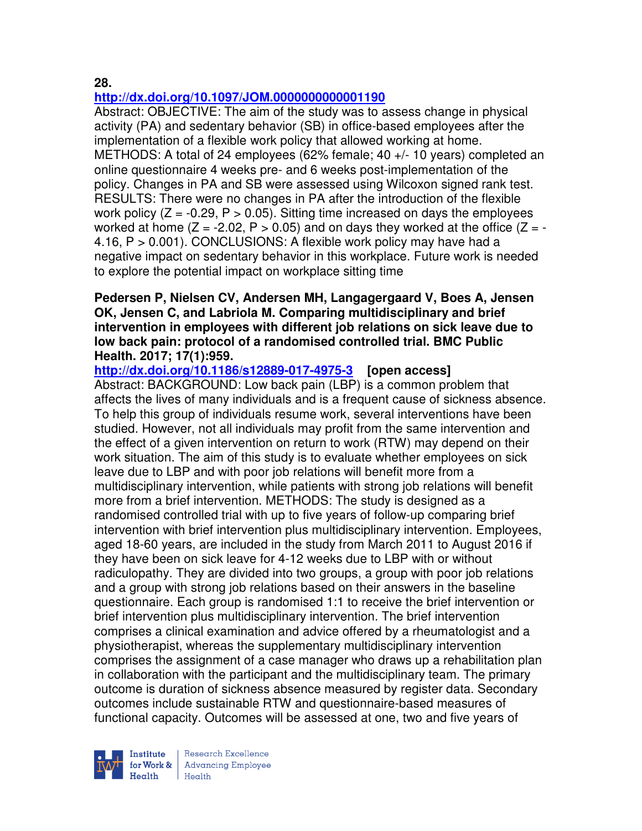### **28.**

# **http://dx.doi.org/10.1097/JOM.0000000000001190**

Abstract: OBJECTIVE: The aim of the study was to assess change in physical activity (PA) and sedentary behavior (SB) in office-based employees after the implementation of a flexible work policy that allowed working at home. METHODS: A total of 24 employees (62% female; 40 +/- 10 years) completed an online questionnaire 4 weeks pre- and 6 weeks post-implementation of the policy. Changes in PA and SB were assessed using Wilcoxon signed rank test. RESULTS: There were no changes in PA after the introduction of the flexible work policy  $(Z = -0.29, P > 0.05)$ . Sitting time increased on days the employees worked at home ( $Z = -2.02$ ,  $P > 0.05$ ) and on days they worked at the office ( $Z = -1$ 4.16, P > 0.001). CONCLUSIONS: A flexible work policy may have had a negative impact on sedentary behavior in this workplace. Future work is needed to explore the potential impact on workplace sitting time

## **Pedersen P, Nielsen CV, Andersen MH, Langagergaard V, Boes A, Jensen OK, Jensen C, and Labriola M. Comparing multidisciplinary and brief intervention in employees with different job relations on sick leave due to low back pain: protocol of a randomised controlled trial. BMC Public Health. 2017; 17(1):959.**

**http://dx.doi.org/10.1186/s12889-017-4975-3 [open access]**

Abstract: BACKGROUND: Low back pain (LBP) is a common problem that affects the lives of many individuals and is a frequent cause of sickness absence. To help this group of individuals resume work, several interventions have been studied. However, not all individuals may profit from the same intervention and the effect of a given intervention on return to work (RTW) may depend on their work situation. The aim of this study is to evaluate whether employees on sick leave due to LBP and with poor job relations will benefit more from a multidisciplinary intervention, while patients with strong job relations will benefit more from a brief intervention. METHODS: The study is designed as a randomised controlled trial with up to five years of follow-up comparing brief intervention with brief intervention plus multidisciplinary intervention. Employees, aged 18-60 years, are included in the study from March 2011 to August 2016 if they have been on sick leave for 4-12 weeks due to LBP with or without radiculopathy. They are divided into two groups, a group with poor job relations and a group with strong job relations based on their answers in the baseline questionnaire. Each group is randomised 1:1 to receive the brief intervention or brief intervention plus multidisciplinary intervention. The brief intervention comprises a clinical examination and advice offered by a rheumatologist and a physiotherapist, whereas the supplementary multidisciplinary intervention comprises the assignment of a case manager who draws up a rehabilitation plan in collaboration with the participant and the multidisciplinary team. The primary outcome is duration of sickness absence measured by register data. Secondary outcomes include sustainable RTW and questionnaire-based measures of functional capacity. Outcomes will be assessed at one, two and five years of

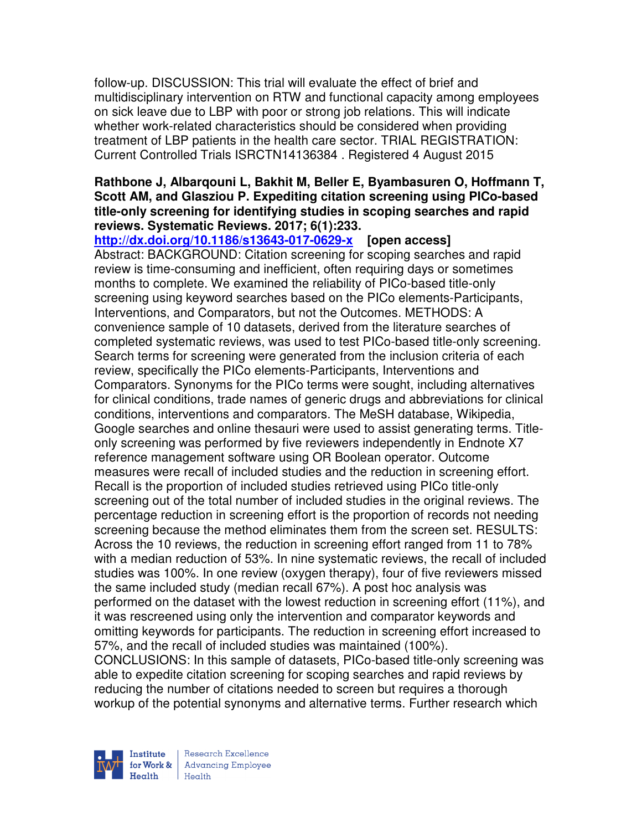follow-up. DISCUSSION: This trial will evaluate the effect of brief and multidisciplinary intervention on RTW and functional capacity among employees on sick leave due to LBP with poor or strong job relations. This will indicate whether work-related characteristics should be considered when providing treatment of LBP patients in the health care sector. TRIAL REGISTRATION: Current Controlled Trials ISRCTN14136384 . Registered 4 August 2015

# **Rathbone J, Albarqouni L, Bakhit M, Beller E, Byambasuren O, Hoffmann T, Scott AM, and Glasziou P. Expediting citation screening using PICo-based title-only screening for identifying studies in scoping searches and rapid reviews. Systematic Reviews. 2017; 6(1):233.**

**http://dx.doi.org/10.1186/s13643-017-0629-x [open access]** Abstract: BACKGROUND: Citation screening for scoping searches and rapid review is time-consuming and inefficient, often requiring days or sometimes months to complete. We examined the reliability of PICo-based title-only screening using keyword searches based on the PICo elements-Participants, Interventions, and Comparators, but not the Outcomes. METHODS: A convenience sample of 10 datasets, derived from the literature searches of completed systematic reviews, was used to test PICo-based title-only screening. Search terms for screening were generated from the inclusion criteria of each review, specifically the PICo elements-Participants, Interventions and Comparators. Synonyms for the PICo terms were sought, including alternatives for clinical conditions, trade names of generic drugs and abbreviations for clinical conditions, interventions and comparators. The MeSH database, Wikipedia, Google searches and online thesauri were used to assist generating terms. Titleonly screening was performed by five reviewers independently in Endnote X7 reference management software using OR Boolean operator. Outcome measures were recall of included studies and the reduction in screening effort. Recall is the proportion of included studies retrieved using PICo title-only screening out of the total number of included studies in the original reviews. The percentage reduction in screening effort is the proportion of records not needing screening because the method eliminates them from the screen set. RESULTS: Across the 10 reviews, the reduction in screening effort ranged from 11 to 78% with a median reduction of 53%. In nine systematic reviews, the recall of included studies was 100%. In one review (oxygen therapy), four of five reviewers missed the same included study (median recall 67%). A post hoc analysis was performed on the dataset with the lowest reduction in screening effort (11%), and it was rescreened using only the intervention and comparator keywords and omitting keywords for participants. The reduction in screening effort increased to 57%, and the recall of included studies was maintained (100%). CONCLUSIONS: In this sample of datasets, PICo-based title-only screening was able to expedite citation screening for scoping searches and rapid reviews by reducing the number of citations needed to screen but requires a thorough workup of the potential synonyms and alternative terms. Further research which

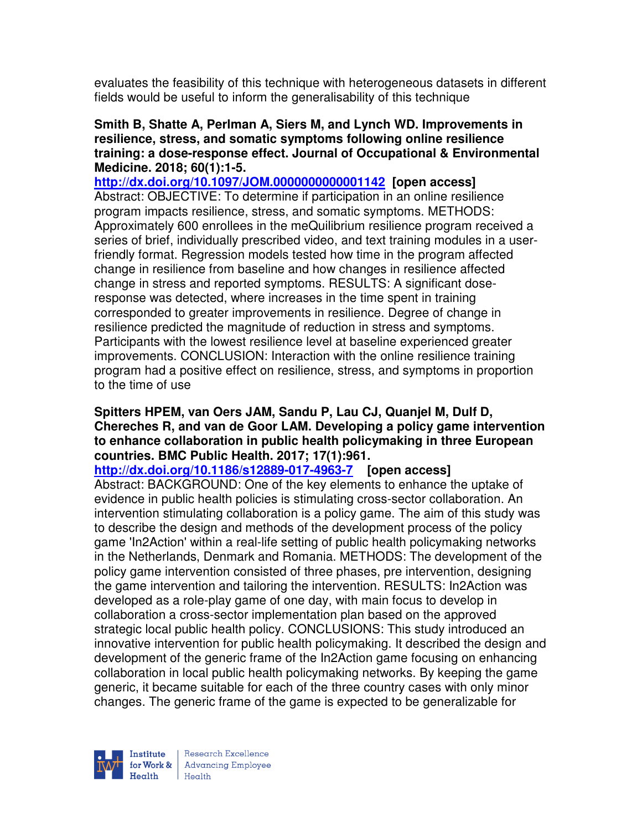evaluates the feasibility of this technique with heterogeneous datasets in different fields would be useful to inform the generalisability of this technique

### **Smith B, Shatte A, Perlman A, Siers M, and Lynch WD. Improvements in resilience, stress, and somatic symptoms following online resilience training: a dose-response effect. Journal of Occupational & Environmental Medicine. 2018; 60(1):1-5.**

**http://dx.doi.org/10.1097/JOM.0000000000001142 [open access]**  Abstract: OBJECTIVE: To determine if participation in an online resilience program impacts resilience, stress, and somatic symptoms. METHODS: Approximately 600 enrollees in the meQuilibrium resilience program received a series of brief, individually prescribed video, and text training modules in a userfriendly format. Regression models tested how time in the program affected change in resilience from baseline and how changes in resilience affected change in stress and reported symptoms. RESULTS: A significant doseresponse was detected, where increases in the time spent in training corresponded to greater improvements in resilience. Degree of change in resilience predicted the magnitude of reduction in stress and symptoms. Participants with the lowest resilience level at baseline experienced greater improvements. CONCLUSION: Interaction with the online resilience training program had a positive effect on resilience, stress, and symptoms in proportion to the time of use

# **Spitters HPEM, van Oers JAM, Sandu P, Lau CJ, Quanjel M, Dulf D, Chereches R, and van de Goor LAM. Developing a policy game intervention to enhance collaboration in public health policymaking in three European countries. BMC Public Health. 2017; 17(1):961.**

**http://dx.doi.org/10.1186/s12889-017-4963-7 [open access]**

Abstract: BACKGROUND: One of the key elements to enhance the uptake of evidence in public health policies is stimulating cross-sector collaboration. An intervention stimulating collaboration is a policy game. The aim of this study was to describe the design and methods of the development process of the policy game 'In2Action' within a real-life setting of public health policymaking networks in the Netherlands, Denmark and Romania. METHODS: The development of the policy game intervention consisted of three phases, pre intervention, designing the game intervention and tailoring the intervention. RESULTS: In2Action was developed as a role-play game of one day, with main focus to develop in collaboration a cross-sector implementation plan based on the approved strategic local public health policy. CONCLUSIONS: This study introduced an innovative intervention for public health policymaking. It described the design and development of the generic frame of the In2Action game focusing on enhancing collaboration in local public health policymaking networks. By keeping the game generic, it became suitable for each of the three country cases with only minor changes. The generic frame of the game is expected to be generalizable for

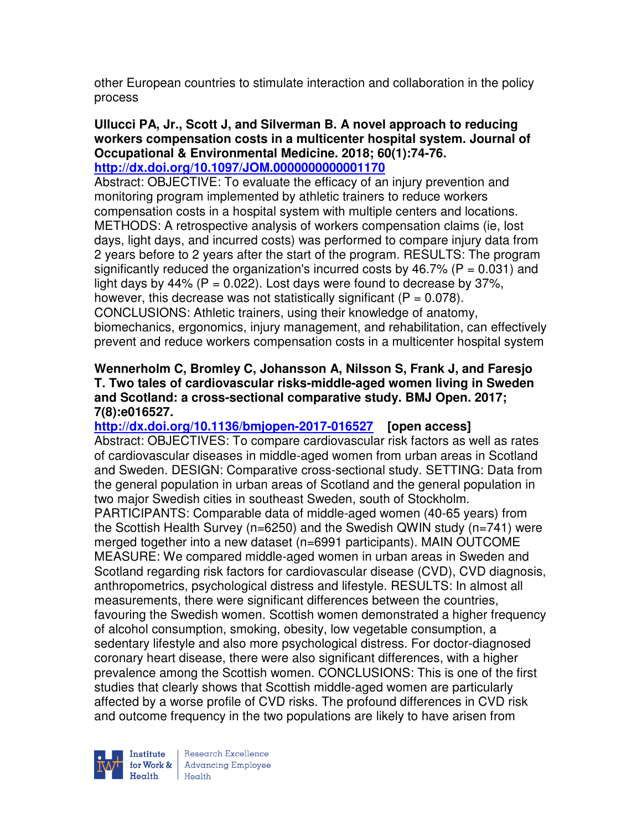other European countries to stimulate interaction and collaboration in the policy process

#### **Ullucci PA, Jr., Scott J, and Silverman B. A novel approach to reducing workers compensation costs in a multicenter hospital system. Journal of Occupational & Environmental Medicine. 2018; 60(1):74-76. http://dx.doi.org/10.1097/JOM.0000000000001170**

Abstract: OBJECTIVE: To evaluate the efficacy of an injury prevention and monitoring program implemented by athletic trainers to reduce workers compensation costs in a hospital system with multiple centers and locations. METHODS: A retrospective analysis of workers compensation claims (ie, lost days, light days, and incurred costs) was performed to compare injury data from 2 years before to 2 years after the start of the program. RESULTS: The program significantly reduced the organization's incurred costs by 46.7% ( $P = 0.031$ ) and light days by 44% ( $P = 0.022$ ). Lost days were found to decrease by 37%, however, this decrease was not statistically significant ( $P = 0.078$ ). CONCLUSIONS: Athletic trainers, using their knowledge of anatomy, biomechanics, ergonomics, injury management, and rehabilitation, can effectively prevent and reduce workers compensation costs in a multicenter hospital system

## **Wennerholm C, Bromley C, Johansson A, Nilsson S, Frank J, and Faresjo T. Two tales of cardiovascular risks-middle-aged women living in Sweden and Scotland: a cross-sectional comparative study. BMJ Open. 2017; 7(8):e016527.**

**http://dx.doi.org/10.1136/bmjopen-2017-016527 [open access]** Abstract: OBJECTIVES: To compare cardiovascular risk factors as well as rates of cardiovascular diseases in middle-aged women from urban areas in Scotland and Sweden. DESIGN: Comparative cross-sectional study. SETTING: Data from the general population in urban areas of Scotland and the general population in two major Swedish cities in southeast Sweden, south of Stockholm. PARTICIPANTS: Comparable data of middle-aged women (40-65 years) from the Scottish Health Survey (n=6250) and the Swedish QWIN study (n=741) were merged together into a new dataset (n=6991 participants). MAIN OUTCOME MEASURE: We compared middle-aged women in urban areas in Sweden and Scotland regarding risk factors for cardiovascular disease (CVD), CVD diagnosis, anthropometrics, psychological distress and lifestyle. RESULTS: In almost all measurements, there were significant differences between the countries, favouring the Swedish women. Scottish women demonstrated a higher frequency of alcohol consumption, smoking, obesity, low vegetable consumption, a sedentary lifestyle and also more psychological distress. For doctor-diagnosed coronary heart disease, there were also significant differences, with a higher prevalence among the Scottish women. CONCLUSIONS: This is one of the first studies that clearly shows that Scottish middle-aged women are particularly affected by a worse profile of CVD risks. The profound differences in CVD risk and outcome frequency in the two populations are likely to have arisen from